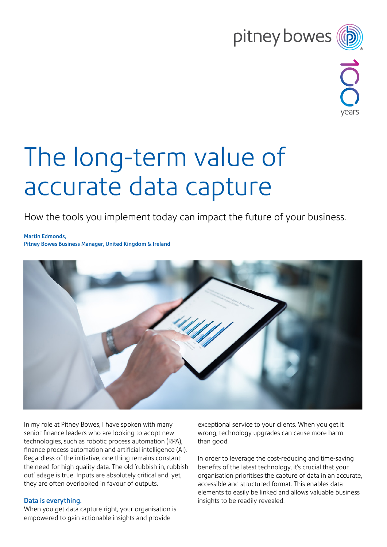## pitney bowes



# The long-term value of accurate data capture

How the tools you implement today can impact the future of your business.

Martin Edmonds, Pitney Bowes Business Manager, United Kingdom & Ireland



In my role at Pitney Bowes, I have spoken with many senior finance leaders who are looking to adopt new technologies, such as robotic process automation (RPA), finance process automation and artificial intelligence (AI). Regardless of the initiative, one thing remains constant: the need for high quality data. The old 'rubbish in, rubbish out' adage is true. Inputs are absolutely critical and, yet, they are often overlooked in favour of outputs.

### Data is everything.

When you get data capture right, your organisation is empowered to gain actionable insights and provide

exceptional service to your clients. When you get it wrong, technology upgrades can cause more harm than good.

In order to leverage the cost-reducing and time-saving benefits of the latest technology, it's crucial that your organisation prioritises the capture of data in an accurate, accessible and structured format. This enables data elements to easily be linked and allows valuable business insights to be readily revealed.